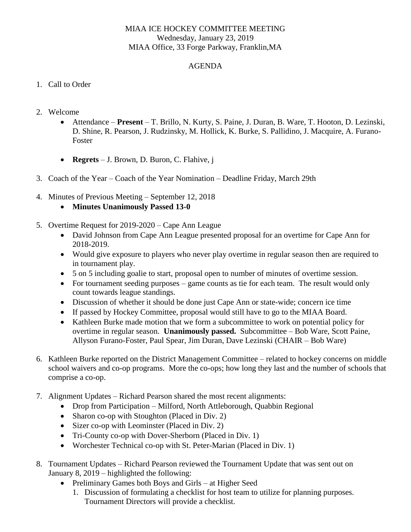## MIAA ICE HOCKEY COMMITTEE MEETING Wednesday, January 23, 2019 MIAA Office, 33 Forge Parkway, Franklin,MA

## AGENDA

## 1. Call to Order

- 2. Welcome
	- Attendance **Present**  T. Brillo, N. Kurty, S. Paine, J. Duran, B. Ware, T. Hooton, D. Lezinski, D. Shine, R. Pearson, J. Rudzinsky, M. Hollick, K. Burke, S. Pallidino, J. Macquire, A. Furano-Foster
	- **Regrets** J. Brown, D. Buron, C. Flahive, j
- 3. Coach of the Year Coach of the Year Nomination Deadline Friday, March 29th
- 4. Minutes of Previous Meeting September 12, 2018
	- **Minutes Unanimously Passed 13-0**
- 5. Overtime Request for 2019-2020 Cape Ann League
	- David Johnson from Cape Ann League presented proposal for an overtime for Cape Ann for 2018-2019.
	- Would give exposure to players who never play overtime in regular season then are required to in tournament play.
	- 5 on 5 including goalie to start, proposal open to number of minutes of overtime session.
	- For tournament seeding purposes game counts as tie for each team. The result would only count towards league standings.
	- Discussion of whether it should be done just Cape Ann or state-wide; concern ice time
	- If passed by Hockey Committee, proposal would still have to go to the MIAA Board.
	- Kathleen Burke made motion that we form a subcommittee to work on potential policy for overtime in regular season. **Unanimously passed.** Subcommittee – Bob Ware, Scott Paine, Allyson Furano-Foster, Paul Spear, Jim Duran, Dave Lezinski (CHAIR – Bob Ware)
- 6. Kathleen Burke reported on the District Management Committee related to hockey concerns on middle school waivers and co-op programs. More the co-ops; how long they last and the number of schools that comprise a co-op.
- 7. Alignment Updates Richard Pearson shared the most recent alignments:
	- Drop from Participation Milford, North Attleborough, Quabbin Regional
	- Sharon co-op with Stoughton (Placed in Div. 2)
	- Sizer co-op with Leominster (Placed in Div. 2)
	- Tri-County co-op with Dover-Sherborn (Placed in Div. 1)
	- Worchester Technical co-op with St. Peter-Marian (Placed in Div. 1)
- 8. Tournament Updates Richard Pearson reviewed the Tournament Update that was sent out on January 8, 2019 – highlighted the following:
	- Preliminary Games both Boys and Girls at Higher Seed
		- 1. Discussion of formulating a checklist for host team to utilize for planning purposes. Tournament Directors will provide a checklist.